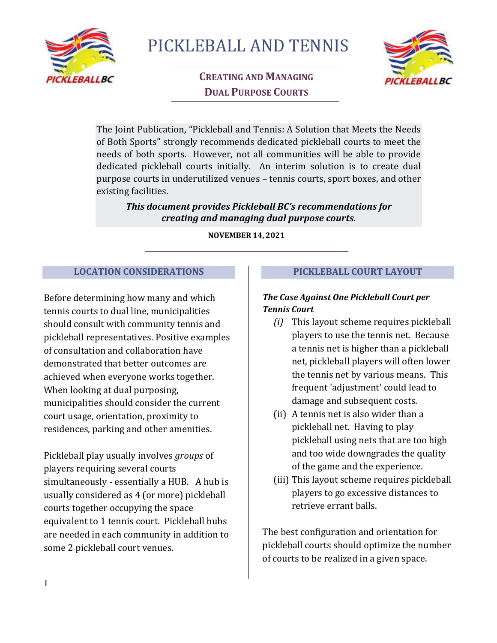

PICKLEBALL AND TENNIS

# **CREATING AND MANAGING DUAL PURPOSE COURTS**



The Joint Publication, "Pickleball and Tennis: A Solution that Meets the Needs of Both Sports" strongly recommends dedicated pickleball courts to meet the needs of both sports. However, not all communities will be able to provide dedicated pickleball courts initially. An interim solution is to create dual purpose courts in underutilized venues – tennis courts, sport boxes, and other existing facilities.

#### *This document provides Pickleball BC's recommendations for creating and managing dual purpose courts.*

**NOVEMBER 14, 2021** 

### **LOCATION CONSIDERATIONS**

Before determining how many and which tennis courts to dual line, municipalities should consult with community tennis and pickleball representatives. Positive examples of consultation and collaboration have demonstrated that better outcomes are achieved when everyone works together. When looking at dual purposing, municipalities should consider the current court usage, orientation, proximity to residences, parking and other amenities.

Pickleball play usually involves *groups* of players requiring several courts simultaneously - essentially a HUB. A hub is usually considered as 4 (or more) pickleball courts together occupying the space equivalent to 1 tennis court. Pickleball hubs are needed in each community in addition to some 2 pickleball court venues.

### **PICKLEBALL COURT LAYOUT**

# *The Case Against One Pickleball Court per Tennis Court*

- *(i)* This layout scheme requires pickleball players to use the tennis net. Because a tennis net is higher than a pickleball net, pickleball players will often lower the tennis net by various means. This frequent 'adjustment' could lead to damage and subsequent costs.
- (ii) A tennis net is also wider than a pickleball net. Having to play pickleball using nets that are too high and too wide downgrades the quality of the game and the experience.
- (iii) This layout scheme requires pickleball players to go excessive distances to retrieve errant balls.

The best configuration and orientation for pickleball courts should optimize the number of courts to be realized in a given space.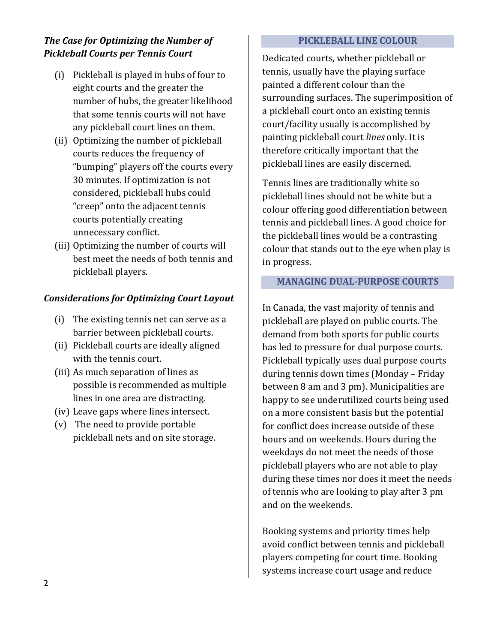## *The Case for Optimizing the Number of Pickleball Courts per Tennis Court*

- (i) Pickleball is played in hubs of four to eight courts and the greater the number of hubs, the greater likelihood that some tennis courts will not have any pickleball court lines on them.
- (ii) Optimizing the number of pickleball courts reduces the frequency of "bumping" players off the courts every 30 minutes. If optimization is not considered, pickleball hubs could "creep" onto the adjacent tennis courts potentially creating unnecessary conflict.
- (iii) Optimizing the number of courts will best meet the needs of both tennis and pickleball players.

## *Considerations for Optimizing Court Layout*

- (i) The existing tennis net can serve as a barrier between pickleball courts.
- (ii) Pickleball courts are ideally aligned with the tennis court.
- (iii) As much separation of lines as possible is recommended as multiple lines in one area are distracting.
- (iv) Leave gaps where lines intersect.
- (v) The need to provide portable pickleball nets and on site storage.

#### **PICKLEBALL LINE COLOUR**

Dedicated courts, whether pickleball or tennis, usually have the playing surface painted a different colour than the surrounding surfaces. The superimposition of a pickleball court onto an existing tennis court/facility usually is accomplished by painting pickleball court *lines* only. It is therefore critically important that the pickleball lines are easily discerned.

Tennis lines are traditionally white so pickleball lines should not be white but a colour offering good differentiation between tennis and pickleball lines. A good choice for the pickleball lines would be a contrasting colour that stands out to the eye when play is in progress.

#### **MANAGING DUAL-PURPOSE COURTS**

In Canada, the vast majority of tennis and pickleball are played on public courts. The demand from both sports for public courts has led to pressure for dual purpose courts. Pickleball typically uses dual purpose courts during tennis down times (Monday – Friday between 8 am and 3 pm). Municipalities are happy to see underutilized courts being used on a more consistent basis but the potential for conflict does increase outside of these hours and on weekends. Hours during the weekdays do not meet the needs of those pickleball players who are not able to play during these times nor does it meet the needs of tennis who are looking to play after 3 pm and on the weekends.

Booking systems and priority times help avoid conflict between tennis and pickleball players competing for court time. Booking systems increase court usage and reduce